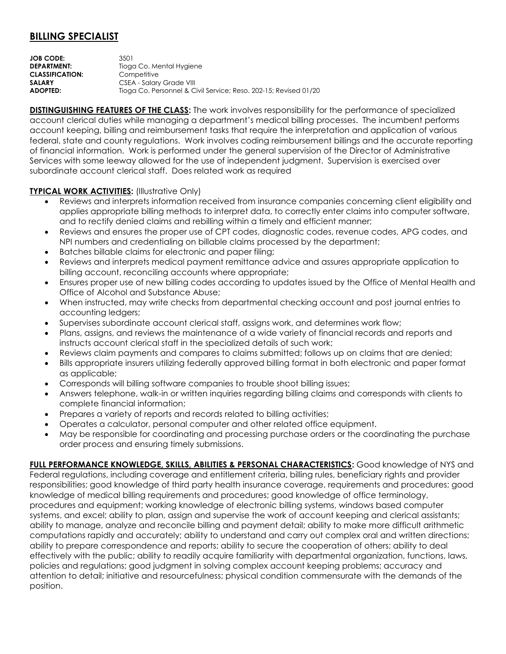## **BILLING SPECIALIST**

| JOB CODE:              | 3501                                                             |
|------------------------|------------------------------------------------------------------|
| <b>DEPARTMENT:</b>     | Tioga Co. Mental Hygiene                                         |
| <b>CLASSIFICATION:</b> | Competitive                                                      |
| SALARY                 | CSEA - Salary Grade VIII                                         |
| ADOPTED:               | Tioga Co. Personnel & Civil Service; Reso. 202-15; Revised 01/20 |
|                        |                                                                  |

**DISTINGUISHING FEATURES OF THE CLASS:** The work involves responsibility for the performance of specialized account clerical duties while managing a department's medical billing processes. The incumbent performs account keeping, billing and reimbursement tasks that require the interpretation and application of various federal, state and county regulations. Work involves coding reimbursement billings and the accurate reporting of financial information. Work is performed under the general supervision of the Director of Administrative Services with some leeway allowed for the use of independent judgment. Supervision is exercised over subordinate account clerical staff. Does related work as required

## **TYPICAL WORK ACTIVITIES: (Illustrative Only)**

- Reviews and interprets information received from insurance companies concerning client eligibility and applies appropriate billing methods to interpret data, to correctly enter claims into computer software, and to rectify denied claims and rebilling within a timely and efficient manner;
- Reviews and ensures the proper use of CPT codes, diagnostic codes, revenue codes, APG codes, and NPI numbers and credentialing on billable claims processed by the department;
- Batches billable claims for electronic and paper filing;
- Reviews and interprets medical payment remittance advice and assures appropriate application to billing account, reconciling accounts where appropriate;
- Ensures proper use of new billing codes according to updates issued by the Office of Mental Health and Office of Alcohol and Substance Abuse;
- When instructed, may write checks from departmental checking account and post journal entries to accounting ledgers;
- Supervises subordinate account clerical staff, assigns work, and determines work flow;
- Plans, assigns, and reviews the maintenance of a wide variety of financial records and reports and instructs account clerical staff in the specialized details of such work;
- Reviews claim payments and compares to claims submitted; follows up on claims that are denied;
- Bills appropriate insurers utilizing federally approved billing format in both electronic and paper format as applicable;
- Corresponds will billing software companies to trouble shoot billing issues;
- Answers telephone, walk-in or written inquiries regarding billing claims and corresponds with clients to complete financial information;
- Prepares a variety of reports and records related to billing activities;
- Operates a calculator, personal computer and other related office equipment.
- May be responsible for coordinating and processing purchase orders or the coordinating the purchase order process and ensuring timely submissions.

**FULL PERFORMANCE KNOWLEDGE, SKILLS, ABILITIES & PERSONAL CHARACTERISTICS:** Good knowledge of NYS and Federal regulations, including coverage and entitlement criteria, billing rules, beneficiary rights and provider responsibilities; good knowledge of third party health insurance coverage, requirements and procedures; good knowledge of medical billing requirements and procedures; good knowledge of office terminology, procedures and equipment; working knowledge of electronic billing systems, windows based computer systems, and excel; ability to plan, assign and supervise the work of account keeping and clerical assistants; ability to manage, analyze and reconcile billing and payment detail; ability to make more difficult arithmetic computations rapidly and accurately; ability to understand and carry out complex oral and written directions; ability to prepare correspondence and reports; ability to secure the cooperation of others; ability to deal effectively with the public; ability to readily acquire familiarity with departmental organization, functions, laws, policies and regulations; good judgment in solving complex account keeping problems; accuracy and attention to detail; initiative and resourcefulness; physical condition commensurate with the demands of the position.